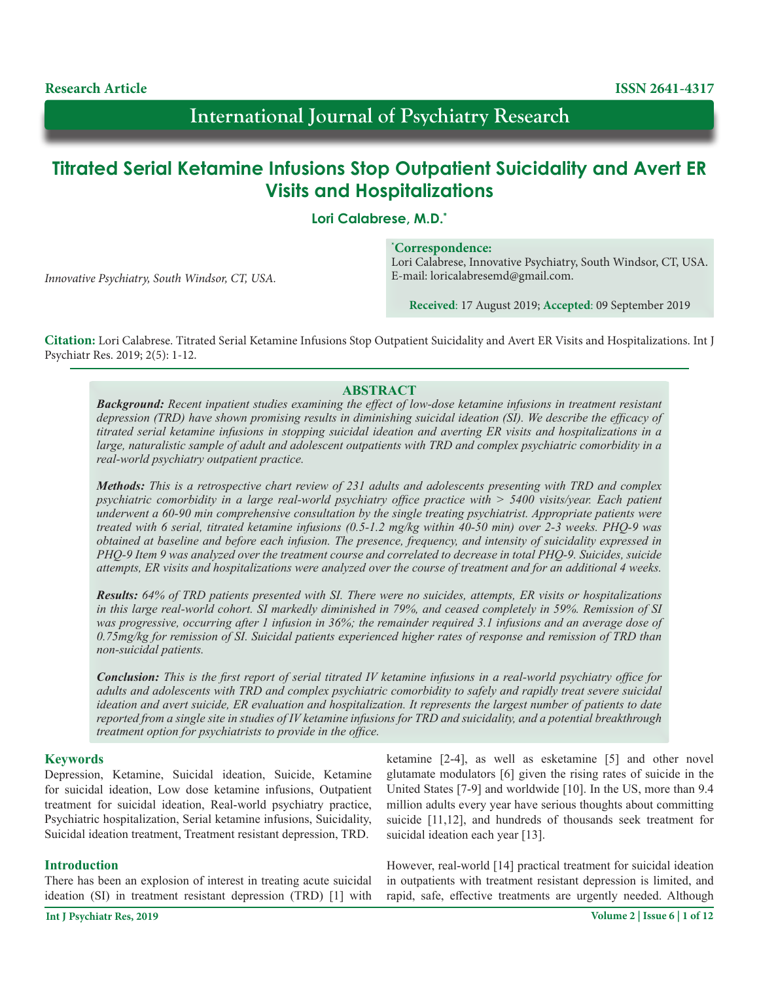**Research Article ISSN 2641-4317**

*Innovative Psychiatry, South Windsor, CT, USA.*

# **International Journal of Psychiatry Research**

# **Titrated Serial Ketamine Infusions Stop Outpatient Suicidality and Avert ER Visits and Hospitalizations**

**Lori Calabrese, M.D.\***

## **\* Correspondence:**

Lori Calabrese, Innovative Psychiatry, South Windsor, CT, USA. E-mail: loricalabresemd@gmail.com.

**Received**: 17 August 2019; **Accepted**: 09 September 2019

**Citation:** Lori Calabrese. Titrated Serial Ketamine Infusions Stop Outpatient Suicidality and Avert ER Visits and Hospitalizations. Int J Psychiatr Res. 2019; 2(5): 1-12.

## **ABSTRACT**

*Background: Recent inpatient studies examining the effect of low-dose ketamine infusions in treatment resistant depression (TRD) have shown promising results in diminishing suicidal ideation (SI). We describe the efficacy of titrated serial ketamine infusions in stopping suicidal ideation and averting ER visits and hospitalizations in a large, naturalistic sample of adult and adolescent outpatients with TRD and complex psychiatric comorbidity in a real-world psychiatry outpatient practice.*

*Methods: This is a retrospective chart review of 231 adults and adolescents presenting with TRD and complex psychiatric comorbidity in a large real-world psychiatry office practice with > 5400 visits/year. Each patient underwent a 60-90 min comprehensive consultation by the single treating psychiatrist. Appropriate patients were treated with 6 serial, titrated ketamine infusions (0.5-1.2 mg/kg within 40-50 min) over 2-3 weeks. PHQ-9 was obtained at baseline and before each infusion. The presence, frequency, and intensity of suicidality expressed in PHQ-9 Item 9 was analyzed over the treatment course and correlated to decrease in total PHQ-9. Suicides, suicide attempts, ER visits and hospitalizations were analyzed over the course of treatment and for an additional 4 weeks.* 

*Results: 64% of TRD patients presented with SI. There were no suicides, attempts, ER visits or hospitalizations in this large real-world cohort. SI markedly diminished in 79%, and ceased completely in 59%. Remission of SI was progressive, occurring after 1 infusion in 36%; the remainder required 3.1 infusions and an average dose of 0.75mg/kg for remission of SI. Suicidal patients experienced higher rates of response and remission of TRD than non-suicidal patients.* 

*Conclusion: This is the first report of serial titrated IV ketamine infusions in a real-world psychiatry office for adults and adolescents with TRD and complex psychiatric comorbidity to safely and rapidly treat severe suicidal ideation and avert suicide, ER evaluation and hospitalization. It represents the largest number of patients to date reported from a single site in studies of IV ketamine infusions for TRD and suicidality, and a potential breakthrough treatment option for psychiatrists to provide in the office.*

## **Keywords**

Depression, Ketamine, Suicidal ideation, Suicide, Ketamine for suicidal ideation, Low dose ketamine infusions, Outpatient treatment for suicidal ideation, Real-world psychiatry practice, Psychiatric hospitalization, Serial ketamine infusions, Suicidality, Suicidal ideation treatment, Treatment resistant depression, TRD.

## **Introduction**

There has been an explosion of interest in treating acute suicidal ideation (SI) in treatment resistant depression (TRD) [1] with

ketamine [2-4], as well as esketamine [5] and other novel glutamate modulators [6] given the rising rates of suicide in the United States [7-9] and worldwide [10]. In the US, more than 9.4 million adults every year have serious thoughts about committing suicide [11,12], and hundreds of thousands seek treatment for suicidal ideation each year [13].

However, real-world [14] practical treatment for suicidal ideation in outpatients with treatment resistant depression is limited, and rapid, safe, effective treatments are urgently needed. Although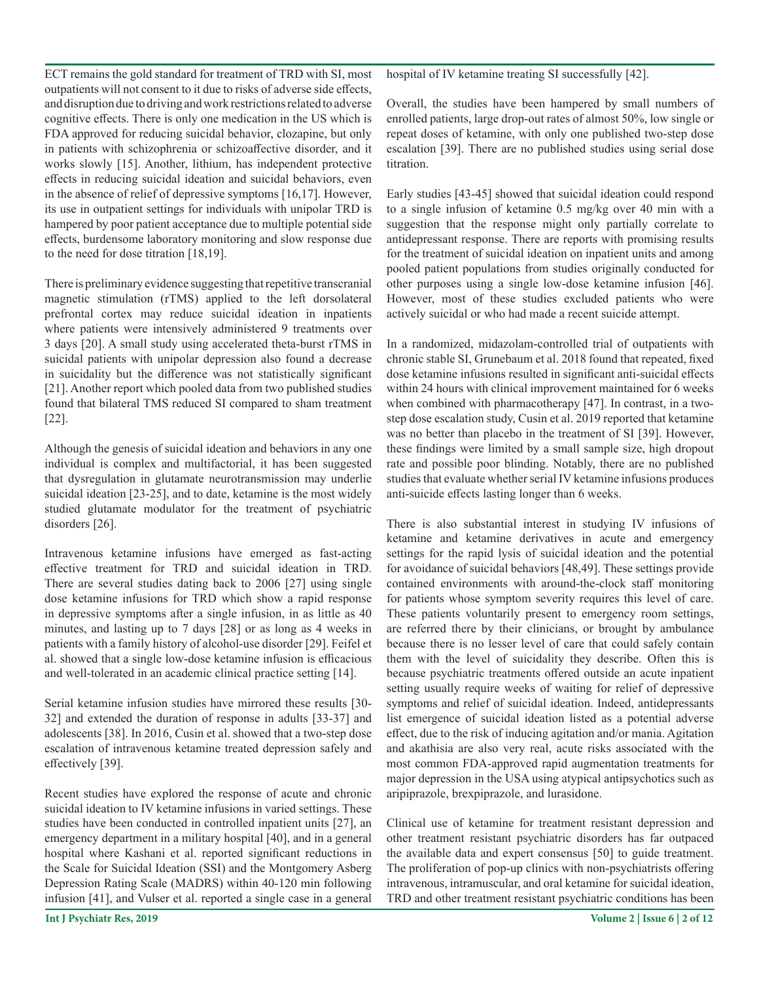ECT remains the gold standard for treatment of TRD with SI, most outpatients will not consent to it due to risks of adverse side effects, and disruption due to driving and work restrictions related to adverse cognitive effects. There is only one medication in the US which is FDA approved for reducing suicidal behavior, clozapine, but only in patients with schizophrenia or schizoaffective disorder, and it works slowly [15]. Another, lithium, has independent protective effects in reducing suicidal ideation and suicidal behaviors, even in the absence of relief of depressive symptoms [16,17]. However, its use in outpatient settings for individuals with unipolar TRD is hampered by poor patient acceptance due to multiple potential side effects, burdensome laboratory monitoring and slow response due to the need for dose titration [18,19].

There is preliminary evidence suggesting that repetitive transcranial magnetic stimulation (rTMS) applied to the left dorsolateral prefrontal cortex may reduce suicidal ideation in inpatients where patients were intensively administered 9 treatments over 3 days [20]. A small study using accelerated theta-burst rTMS in suicidal patients with unipolar depression also found a decrease in suicidality but the difference was not statistically significant [21]. Another report which pooled data from two published studies found that bilateral TMS reduced SI compared to sham treatment [22].

Although the genesis of suicidal ideation and behaviors in any one individual is complex and multifactorial, it has been suggested that dysregulation in glutamate neurotransmission may underlie suicidal ideation [23-25], and to date, ketamine is the most widely studied glutamate modulator for the treatment of psychiatric disorders [26].

Intravenous ketamine infusions have emerged as fast-acting effective treatment for TRD and suicidal ideation in TRD. There are several studies dating back to 2006 [27] using single dose ketamine infusions for TRD which show a rapid response in depressive symptoms after a single infusion, in as little as 40 minutes, and lasting up to 7 days [28] or as long as 4 weeks in patients with a family history of alcohol-use disorder [29]. Feifel et al. showed that a single low-dose ketamine infusion is efficacious and well-tolerated in an academic clinical practice setting [14].

Serial ketamine infusion studies have mirrored these results [30- 32] and extended the duration of response in adults [33-37] and adolescents [38]. In 2016, Cusin et al. showed that a two-step dose escalation of intravenous ketamine treated depression safely and effectively [39].

Recent studies have explored the response of acute and chronic suicidal ideation to IV ketamine infusions in varied settings. These studies have been conducted in controlled inpatient units [27], an emergency department in a military hospital [40], and in a general hospital where Kashani et al. reported significant reductions in the Scale for Suicidal Ideation (SSI) and the Montgomery Asberg Depression Rating Scale (MADRS) within 40-120 min following infusion [41], and Vulser et al. reported a single case in a general

hospital of IV ketamine treating SI successfully [42].

Overall, the studies have been hampered by small numbers of enrolled patients, large drop-out rates of almost 50%, low single or repeat doses of ketamine, with only one published two-step dose escalation [39]. There are no published studies using serial dose titration.

Early studies [43-45] showed that suicidal ideation could respond to a single infusion of ketamine 0.5 mg/kg over 40 min with a suggestion that the response might only partially correlate to antidepressant response. There are reports with promising results for the treatment of suicidal ideation on inpatient units and among pooled patient populations from studies originally conducted for other purposes using a single low-dose ketamine infusion [46]. However, most of these studies excluded patients who were actively suicidal or who had made a recent suicide attempt.

In a randomized, midazolam-controlled trial of outpatients with chronic stable SI, Grunebaum et al. 2018 found that repeated, fixed dose ketamine infusions resulted in significant anti-suicidal effects within 24 hours with clinical improvement maintained for 6 weeks when combined with pharmacotherapy [47]. In contrast, in a twostep dose escalation study, Cusin et al. 2019 reported that ketamine was no better than placebo in the treatment of SI [39]. However, these findings were limited by a small sample size, high dropout rate and possible poor blinding. Notably, there are no published studies that evaluate whether serial IV ketamine infusions produces anti-suicide effects lasting longer than 6 weeks.

There is also substantial interest in studying IV infusions of ketamine and ketamine derivatives in acute and emergency settings for the rapid lysis of suicidal ideation and the potential for avoidance of suicidal behaviors [48,49]. These settings provide contained environments with around-the-clock staff monitoring for patients whose symptom severity requires this level of care. These patients voluntarily present to emergency room settings, are referred there by their clinicians, or brought by ambulance because there is no lesser level of care that could safely contain them with the level of suicidality they describe. Often this is because psychiatric treatments offered outside an acute inpatient setting usually require weeks of waiting for relief of depressive symptoms and relief of suicidal ideation. Indeed, antidepressants list emergence of suicidal ideation listed as a potential adverse effect, due to the risk of inducing agitation and/or mania. Agitation and akathisia are also very real, acute risks associated with the most common FDA-approved rapid augmentation treatments for major depression in the USA using atypical antipsychotics such as aripiprazole, brexpiprazole, and lurasidone.

Clinical use of ketamine for treatment resistant depression and other treatment resistant psychiatric disorders has far outpaced the available data and expert consensus [50] to guide treatment. The proliferation of pop-up clinics with non-psychiatrists offering intravenous, intramuscular, and oral ketamine for suicidal ideation, TRD and other treatment resistant psychiatric conditions has been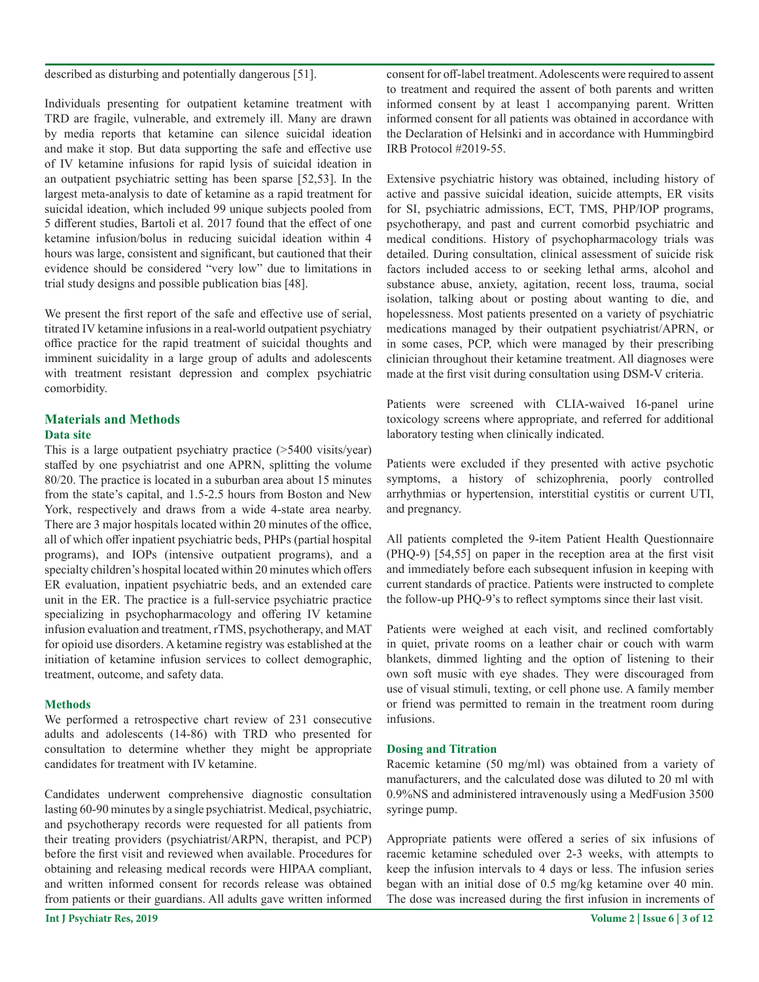described as disturbing and potentially dangerous [51].

Individuals presenting for outpatient ketamine treatment with TRD are fragile, vulnerable, and extremely ill. Many are drawn by media reports that ketamine can silence suicidal ideation and make it stop. But data supporting the safe and effective use of IV ketamine infusions for rapid lysis of suicidal ideation in an outpatient psychiatric setting has been sparse [52,53]. In the largest meta-analysis to date of ketamine as a rapid treatment for suicidal ideation, which included 99 unique subjects pooled from 5 different studies, Bartoli et al. 2017 found that the effect of one ketamine infusion/bolus in reducing suicidal ideation within 4 hours was large, consistent and significant, but cautioned that their evidence should be considered "very low" due to limitations in trial study designs and possible publication bias [48].

We present the first report of the safe and effective use of serial, titrated IV ketamine infusions in a real-world outpatient psychiatry office practice for the rapid treatment of suicidal thoughts and imminent suicidality in a large group of adults and adolescents with treatment resistant depression and complex psychiatric comorbidity.

## **Materials and Methods Data site**

This is a large outpatient psychiatry practice (>5400 visits/year) staffed by one psychiatrist and one APRN, splitting the volume 80/20. The practice is located in a suburban area about 15 minutes from the state's capital, and 1.5-2.5 hours from Boston and New York, respectively and draws from a wide 4-state area nearby. There are 3 major hospitals located within 20 minutes of the office, all of which offer inpatient psychiatric beds, PHPs (partial hospital programs), and IOPs (intensive outpatient programs), and a specialty children's hospital located within 20 minutes which offers ER evaluation, inpatient psychiatric beds, and an extended care unit in the ER. The practice is a full-service psychiatric practice specializing in psychopharmacology and offering IV ketamine infusion evaluation and treatment, rTMS, psychotherapy, and MAT for opioid use disorders. A ketamine registry was established at the initiation of ketamine infusion services to collect demographic, treatment, outcome, and safety data.

## **Methods**

We performed a retrospective chart review of 231 consecutive adults and adolescents (14-86) with TRD who presented for consultation to determine whether they might be appropriate candidates for treatment with IV ketamine.

Candidates underwent comprehensive diagnostic consultation lasting 60-90 minutes by a single psychiatrist. Medical, psychiatric, and psychotherapy records were requested for all patients from their treating providers (psychiatrist/ARPN, therapist, and PCP) before the first visit and reviewed when available. Procedures for obtaining and releasing medical records were HIPAA compliant, and written informed consent for records release was obtained from patients or their guardians. All adults gave written informed

consent for off-label treatment. Adolescents were required to assent to treatment and required the assent of both parents and written informed consent by at least 1 accompanying parent. Written informed consent for all patients was obtained in accordance with the Declaration of Helsinki and in accordance with Hummingbird IRB Protocol #2019-55.

Extensive psychiatric history was obtained, including history of active and passive suicidal ideation, suicide attempts, ER visits for SI, psychiatric admissions, ECT, TMS, PHP/IOP programs, psychotherapy, and past and current comorbid psychiatric and medical conditions. History of psychopharmacology trials was detailed. During consultation, clinical assessment of suicide risk factors included access to or seeking lethal arms, alcohol and substance abuse, anxiety, agitation, recent loss, trauma, social isolation, talking about or posting about wanting to die, and hopelessness. Most patients presented on a variety of psychiatric medications managed by their outpatient psychiatrist/APRN, or in some cases, PCP, which were managed by their prescribing clinician throughout their ketamine treatment. All diagnoses were made at the first visit during consultation using DSM-V criteria.

Patients were screened with CLIA-waived 16-panel urine toxicology screens where appropriate, and referred for additional laboratory testing when clinically indicated.

Patients were excluded if they presented with active psychotic symptoms, a history of schizophrenia, poorly controlled arrhythmias or hypertension, interstitial cystitis or current UTI, and pregnancy.

All patients completed the 9-item Patient Health Questionnaire (PHQ-9) [54,55] on paper in the reception area at the first visit and immediately before each subsequent infusion in keeping with current standards of practice. Patients were instructed to complete the follow-up PHQ-9's to reflect symptoms since their last visit.

Patients were weighed at each visit, and reclined comfortably in quiet, private rooms on a leather chair or couch with warm blankets, dimmed lighting and the option of listening to their own soft music with eye shades. They were discouraged from use of visual stimuli, texting, or cell phone use. A family member or friend was permitted to remain in the treatment room during infusions.

## **Dosing and Titration**

Racemic ketamine (50 mg/ml) was obtained from a variety of manufacturers, and the calculated dose was diluted to 20 ml with 0.9%NS and administered intravenously using a MedFusion 3500 syringe pump.

Appropriate patients were offered a series of six infusions of racemic ketamine scheduled over 2-3 weeks, with attempts to keep the infusion intervals to 4 days or less. The infusion series began with an initial dose of 0.5 mg/kg ketamine over 40 min. The dose was increased during the first infusion in increments of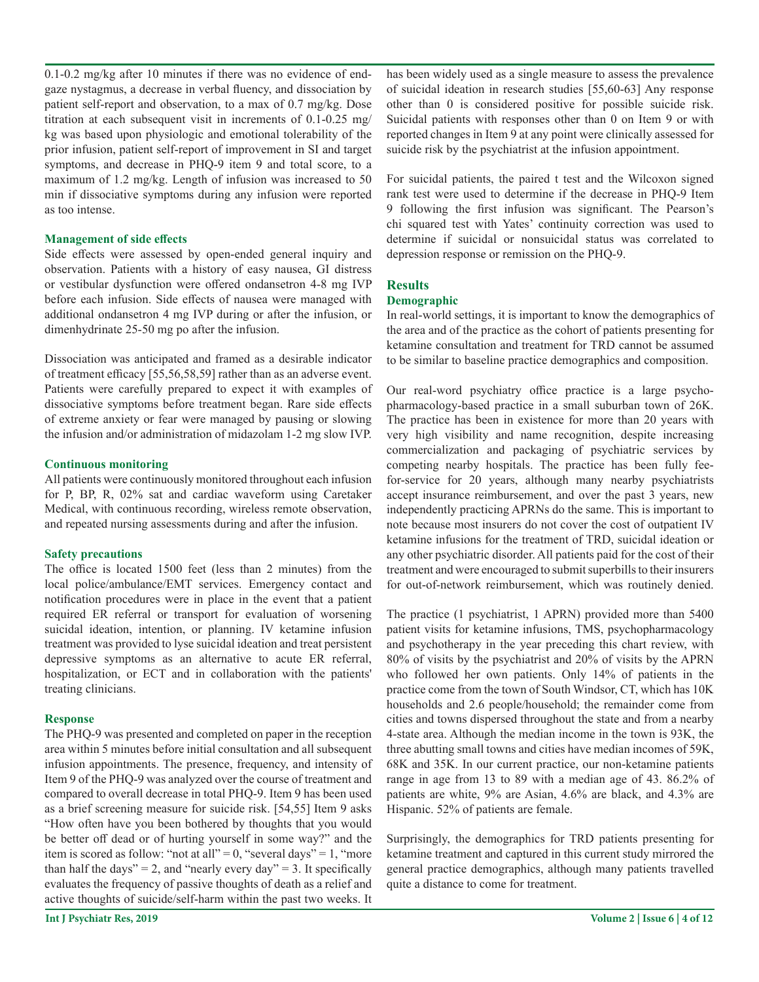0.1-0.2 mg/kg after 10 minutes if there was no evidence of endgaze nystagmus, a decrease in verbal fluency, and dissociation by patient self-report and observation, to a max of 0.7 mg/kg. Dose titration at each subsequent visit in increments of 0.1-0.25 mg/ kg was based upon physiologic and emotional tolerability of the prior infusion, patient self-report of improvement in SI and target symptoms, and decrease in PHQ-9 item 9 and total score, to a maximum of 1.2 mg/kg. Length of infusion was increased to 50 min if dissociative symptoms during any infusion were reported as too intense.

#### **Management of side effects**

Side effects were assessed by open-ended general inquiry and observation. Patients with a history of easy nausea, GI distress or vestibular dysfunction were offered ondansetron 4-8 mg IVP before each infusion. Side effects of nausea were managed with additional ondansetron 4 mg IVP during or after the infusion, or dimenhydrinate 25-50 mg po after the infusion.

Dissociation was anticipated and framed as a desirable indicator of treatment efficacy [55,56,58,59] rather than as an adverse event. Patients were carefully prepared to expect it with examples of dissociative symptoms before treatment began. Rare side effects of extreme anxiety or fear were managed by pausing or slowing the infusion and/or administration of midazolam 1-2 mg slow IVP.

#### **Continuous monitoring**

All patients were continuously monitored throughout each infusion for P, BP, R, 02% sat and cardiac waveform using Caretaker Medical, with continuous recording, wireless remote observation, and repeated nursing assessments during and after the infusion.

## **Safety precautions**

The office is located 1500 feet (less than 2 minutes) from the local police/ambulance/EMT services. Emergency contact and notification procedures were in place in the event that a patient required ER referral or transport for evaluation of worsening suicidal ideation, intention, or planning. IV ketamine infusion treatment was provided to lyse suicidal ideation and treat persistent depressive symptoms as an alternative to acute ER referral, hospitalization, or ECT and in collaboration with the patients' treating clinicians.

## **Response**

The PHQ-9 was presented and completed on paper in the reception area within 5 minutes before initial consultation and all subsequent infusion appointments. The presence, frequency, and intensity of Item 9 of the PHQ-9 was analyzed over the course of treatment and compared to overall decrease in total PHQ-9. Item 9 has been used as a brief screening measure for suicide risk. [54,55] Item 9 asks "How often have you been bothered by thoughts that you would be better off dead or of hurting yourself in some way?" and the item is scored as follow: "not at all" = 0, "several days" = 1, "more than half the days" = 2, and "nearly every day" = 3. It specifically evaluates the frequency of passive thoughts of death as a relief and active thoughts of suicide/self-harm within the past two weeks. It

has been widely used as a single measure to assess the prevalence of suicidal ideation in research studies [55,60-63] Any response other than 0 is considered positive for possible suicide risk. Suicidal patients with responses other than 0 on Item 9 or with reported changes in Item 9 at any point were clinically assessed for suicide risk by the psychiatrist at the infusion appointment.

For suicidal patients, the paired t test and the Wilcoxon signed rank test were used to determine if the decrease in PHQ-9 Item 9 following the first infusion was significant. The Pearson's chi squared test with Yates' continuity correction was used to determine if suicidal or nonsuicidal status was correlated to depression response or remission on the PHQ-9.

# **Results**

### **Demographic**

In real-world settings, it is important to know the demographics of the area and of the practice as the cohort of patients presenting for ketamine consultation and treatment for TRD cannot be assumed to be similar to baseline practice demographics and composition.

Our real-word psychiatry office practice is a large psychopharmacology-based practice in a small suburban town of 26K. The practice has been in existence for more than 20 years with very high visibility and name recognition, despite increasing commercialization and packaging of psychiatric services by competing nearby hospitals. The practice has been fully feefor-service for 20 years, although many nearby psychiatrists accept insurance reimbursement, and over the past 3 years, new independently practicing APRNs do the same. This is important to note because most insurers do not cover the cost of outpatient IV ketamine infusions for the treatment of TRD, suicidal ideation or any other psychiatric disorder. All patients paid for the cost of their treatment and were encouraged to submit superbills to their insurers for out-of-network reimbursement, which was routinely denied.

The practice (1 psychiatrist, 1 APRN) provided more than 5400 patient visits for ketamine infusions, TMS, psychopharmacology and psychotherapy in the year preceding this chart review, with 80% of visits by the psychiatrist and 20% of visits by the APRN who followed her own patients. Only 14% of patients in the practice come from the town of South Windsor, CT, which has 10K households and 2.6 people/household; the remainder come from cities and towns dispersed throughout the state and from a nearby 4-state area. Although the median income in the town is 93K, the three abutting small towns and cities have median incomes of 59K, 68K and 35K. In our current practice, our non-ketamine patients range in age from 13 to 89 with a median age of 43. 86.2% of patients are white, 9% are Asian, 4.6% are black, and 4.3% are Hispanic. 52% of patients are female.

Surprisingly, the demographics for TRD patients presenting for ketamine treatment and captured in this current study mirrored the general practice demographics, although many patients travelled quite a distance to come for treatment.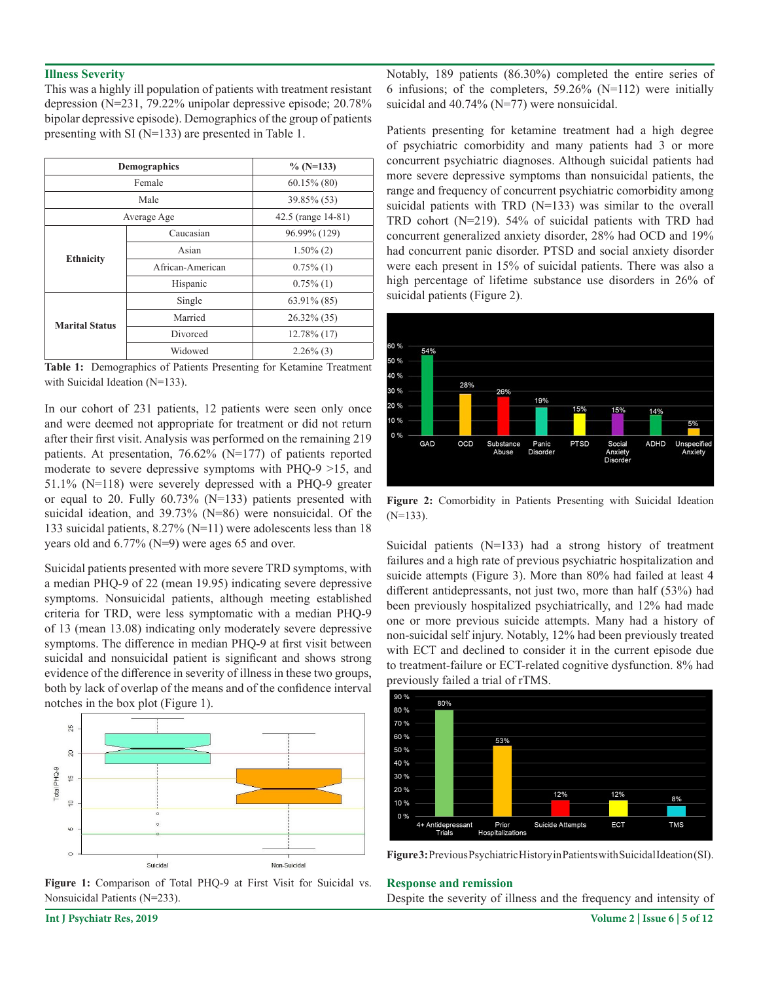#### **Illness Severity**

This was a highly ill population of patients with treatment resistant depression (N=231, 79.22% unipolar depressive episode; 20.78% bipolar depressive episode). Demographics of the group of patients presenting with SI (N=133) are presented in Table 1.

| <b>Demographics</b>   |                  | $\%$ (N=133)       |
|-----------------------|------------------|--------------------|
| Female                |                  | $60.15\%$ (80)     |
| Male                  |                  | 39.85% (53)        |
| Average Age           |                  | 42.5 (range 14-81) |
| <b>Ethnicity</b>      | Caucasian        | 96.99% (129)       |
|                       | Asian            | $1.50\%$ (2)       |
|                       | African-American | $0.75\%$ (1)       |
|                       | Hispanic         | $0.75\%$ (1)       |
| <b>Marital Status</b> | Single           | 63.91% (85)        |
|                       | Married          | 26.32% (35)        |
|                       | Divorced         | $12.78\%$ (17)     |
|                       | Widowed          | $2.26\%$ (3)       |

**Table 1:** Demographics of Patients Presenting for Ketamine Treatment with Suicidal Ideation (N=133).

In our cohort of 231 patients, 12 patients were seen only once and were deemed not appropriate for treatment or did not return after their first visit. Analysis was performed on the remaining 219 patients. At presentation, 76.62% (N=177) of patients reported moderate to severe depressive symptoms with PHQ-9 >15, and 51.1% (N=118) were severely depressed with a PHQ-9 greater or equal to 20. Fully 60.73% (N=133) patients presented with suicidal ideation, and 39.73% (N=86) were nonsuicidal. Of the 133 suicidal patients, 8.27% (N=11) were adolescents less than 18 years old and 6.77% (N=9) were ages 65 and over.

Suicidal patients presented with more severe TRD symptoms, with a median PHQ-9 of 22 (mean 19.95) indicating severe depressive symptoms. Nonsuicidal patients, although meeting established criteria for TRD, were less symptomatic with a median PHQ-9 of 13 (mean 13.08) indicating only moderately severe depressive symptoms. The difference in median PHQ-9 at first visit between suicidal and nonsuicidal patient is significant and shows strong evidence of the difference in severity of illness in these two groups, both by lack of overlap of the means and of the confidence interval notches in the box plot (Figure 1).



**Figure 1:** Comparison of Total PHQ-9 at First Visit for Suicidal vs. Nonsuicidal Patients (N=233).

Notably, 189 patients (86.30%) completed the entire series of 6 infusions; of the completers, 59.26% (N=112) were initially suicidal and 40.74% (N=77) were nonsuicidal.

Patients presenting for ketamine treatment had a high degree of psychiatric comorbidity and many patients had 3 or more concurrent psychiatric diagnoses. Although suicidal patients had more severe depressive symptoms than nonsuicidal patients, the range and frequency of concurrent psychiatric comorbidity among suicidal patients with TRD (N=133) was similar to the overall TRD cohort (N=219). 54% of suicidal patients with TRD had concurrent generalized anxiety disorder, 28% had OCD and 19% had concurrent panic disorder. PTSD and social anxiety disorder were each present in 15% of suicidal patients. There was also a high percentage of lifetime substance use disorders in 26% of suicidal patients (Figure 2).



**Figure 2:** Comorbidity in Patients Presenting with Suicidal Ideation  $(N=133)$ .

Suicidal patients (N=133) had a strong history of treatment failures and a high rate of previous psychiatric hospitalization and suicide attempts (Figure 3). More than 80% had failed at least 4 different antidepressants, not just two, more than half (53%) had been previously hospitalized psychiatrically, and 12% had made one or more previous suicide attempts. Many had a history of non-suicidal self injury. Notably, 12% had been previously treated with ECT and declined to consider it in the current episode due to treatment-failure or ECT-related cognitive dysfunction. 8% had previously failed a trial of rTMS.





#### **Response and remission**

Despite the severity of illness and the frequency and intensity of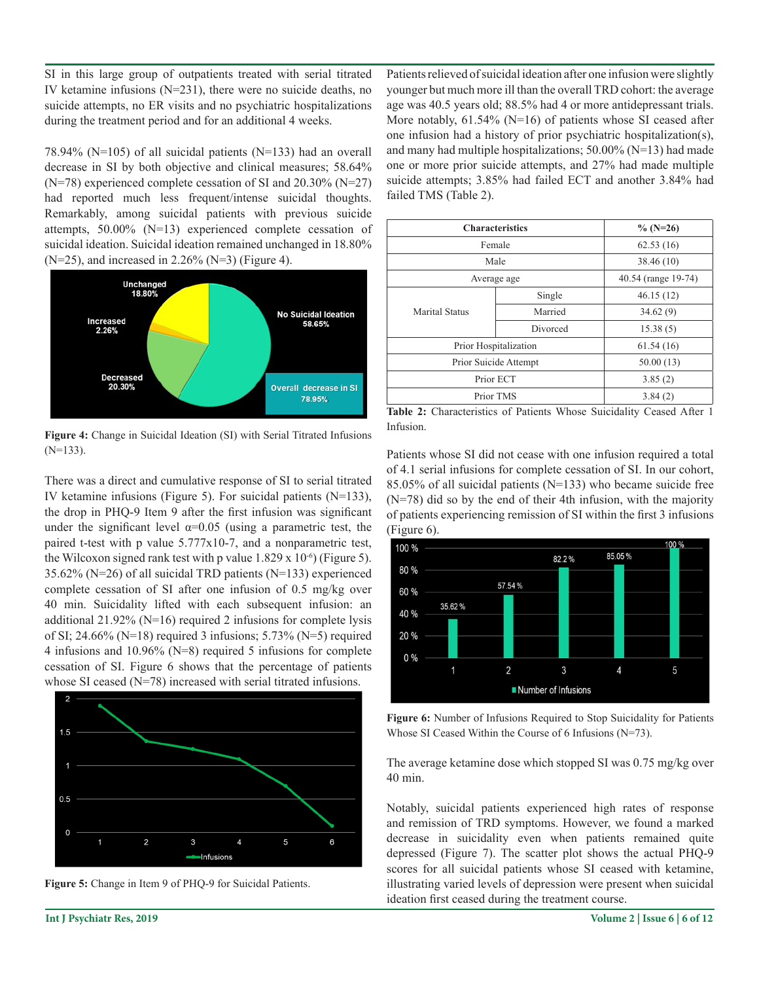SI in this large group of outpatients treated with serial titrated IV ketamine infusions (N=231), there were no suicide deaths, no suicide attempts, no ER visits and no psychiatric hospitalizations during the treatment period and for an additional 4 weeks.

78.94% (N=105) of all suicidal patients (N=133) had an overall decrease in SI by both objective and clinical measures; 58.64%  $(N=78)$  experienced complete cessation of SI and 20.30%  $(N=27)$ had reported much less frequent/intense suicidal thoughts. Remarkably, among suicidal patients with previous suicide attempts, 50.00% (N=13) experienced complete cessation of suicidal ideation. Suicidal ideation remained unchanged in 18.80% (N=25), and increased in 2.26% (N=3) (Figure 4).



**Figure 4:** Change in Suicidal Ideation (SI) with Serial Titrated Infusions (N=133).

There was a direct and cumulative response of SI to serial titrated IV ketamine infusions (Figure 5). For suicidal patients (N=133), the drop in PHQ-9 Item 9 after the first infusion was significant under the significant level  $\alpha$ =0.05 (using a parametric test, the paired t-test with p value 5.777x10-7, and a nonparametric test, the Wilcoxon signed rank test with p value  $1.829 \times 10^{-6}$  (Figure 5). 35.62% (N=26) of all suicidal TRD patients (N=133) experienced complete cessation of SI after one infusion of 0.5 mg/kg over 40 min. Suicidality lifted with each subsequent infusion: an additional 21.92% (N=16) required 2 infusions for complete lysis of SI; 24.66% (N=18) required 3 infusions; 5.73% (N=5) required 4 infusions and 10.96% (N=8) required 5 infusions for complete cessation of SI. Figure 6 shows that the percentage of patients whose SI ceased (N=78) increased with serial titrated infusions.





Patients relieved of suicidal ideation after one infusion were slightly younger but much more ill than the overall TRD cohort: the average age was 40.5 years old; 88.5% had 4 or more antidepressant trials. More notably,  $61.54\%$  (N=16) of patients whose SI ceased after one infusion had a history of prior psychiatric hospitalization(s), and many had multiple hospitalizations; 50.00% (N=13) had made one or more prior suicide attempts, and 27% had made multiple suicide attempts; 3.85% had failed ECT and another 3.84% had failed TMS (Table 2).

| <b>Characteristics</b> | $\%$ (N=26) |                     |
|------------------------|-------------|---------------------|
| Female                 |             | 62.53(16)           |
| Male                   |             | 38.46 (10)          |
| Average age            |             | 40.54 (range 19-74) |
| Marital Status         | Single      | 46.15(12)           |
|                        | Married     | 34.62(9)            |
|                        | Divorced    | 15.38(5)            |
| Prior Hospitalization  |             | 61.54(16)           |
| Prior Suicide Attempt  | 50.00(13)   |                     |
| Prior ECT              | 3.85(2)     |                     |
| Prior TMS              | 3.84(2)     |                     |

**Table 2:** Characteristics of Patients Whose Suicidality Ceased After 1 Infusion.

Patients whose SI did not cease with one infusion required a total of 4.1 serial infusions for complete cessation of SI. In our cohort, 85.05% of all suicidal patients (N=133) who became suicide free (N=78) did so by the end of their 4th infusion, with the majority of patients experiencing remission of SI within the first 3 infusions (Figure 6).



**Figure 6:** Number of Infusions Required to Stop Suicidality for Patients Whose SI Ceased Within the Course of 6 Infusions (N=73).

The average ketamine dose which stopped SI was 0.75 mg/kg over 40 min.

Notably, suicidal patients experienced high rates of response and remission of TRD symptoms. However, we found a marked decrease in suicidality even when patients remained quite depressed (Figure 7). The scatter plot shows the actual PHQ-9 scores for all suicidal patients whose SI ceased with ketamine, illustrating varied levels of depression were present when suicidal ideation first ceased during the treatment course.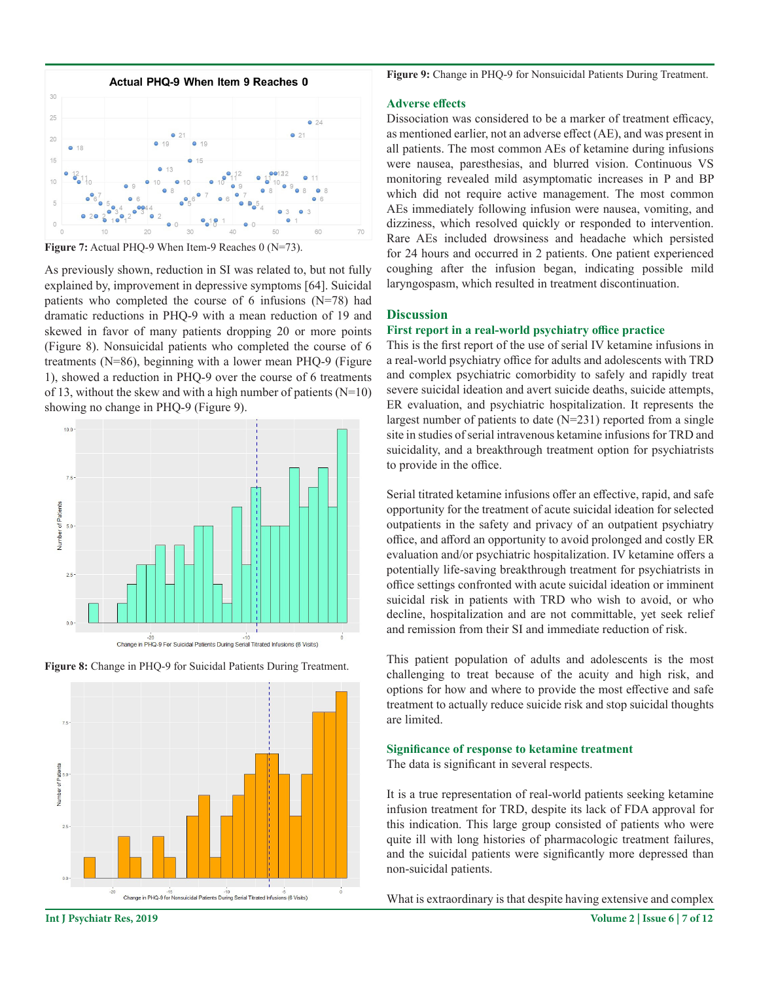

Figure 7: Actual PHQ-9 When Item-9 Reaches 0 (N=73).

As previously shown, reduction in SI was related to, but not fully explained by, improvement in depressive symptoms [64]. Suicidal patients who completed the course of 6 infusions (N=78) had dramatic reductions in PHQ-9 with a mean reduction of 19 and skewed in favor of many patients dropping 20 or more points (Figure 8). Nonsuicidal patients who completed the course of 6 treatments (N=86), beginning with a lower mean PHQ-9 (Figure 1), showed a reduction in PHQ-9 over the course of 6 treatments of 13, without the skew and with a high number of patients  $(N=10)$ showing no change in PHQ-9 (Figure 9).







**Figure 9:** Change in PHQ-9 for Nonsuicidal Patients During Treatment.

### **Adverse effects**

Dissociation was considered to be a marker of treatment efficacy, as mentioned earlier, not an adverse effect (AE), and was present in all patients. The most common AEs of ketamine during infusions were nausea, paresthesias, and blurred vision. Continuous VS monitoring revealed mild asymptomatic increases in P and BP which did not require active management. The most common AEs immediately following infusion were nausea, vomiting, and dizziness, which resolved quickly or responded to intervention. Rare AEs included drowsiness and headache which persisted for 24 hours and occurred in 2 patients. One patient experienced coughing after the infusion began, indicating possible mild laryngospasm, which resulted in treatment discontinuation.

## **Discussion**

#### **First report in a real-world psychiatry office practice**

This is the first report of the use of serial IV ketamine infusions in a real-world psychiatry office for adults and adolescents with TRD and complex psychiatric comorbidity to safely and rapidly treat severe suicidal ideation and avert suicide deaths, suicide attempts, ER evaluation, and psychiatric hospitalization. It represents the largest number of patients to date  $(N=231)$  reported from a single site in studies of serial intravenous ketamine infusions for TRD and suicidality, and a breakthrough treatment option for psychiatrists to provide in the office.

Serial titrated ketamine infusions offer an effective, rapid, and safe opportunity for the treatment of acute suicidal ideation for selected outpatients in the safety and privacy of an outpatient psychiatry office, and afford an opportunity to avoid prolonged and costly ER evaluation and/or psychiatric hospitalization. IV ketamine offers a potentially life-saving breakthrough treatment for psychiatrists in office settings confronted with acute suicidal ideation or imminent suicidal risk in patients with TRD who wish to avoid, or who decline, hospitalization and are not committable, yet seek relief and remission from their SI and immediate reduction of risk.

This patient population of adults and adolescents is the most challenging to treat because of the acuity and high risk, and options for how and where to provide the most effective and safe treatment to actually reduce suicide risk and stop suicidal thoughts are limited.

#### **Significance of response to ketamine treatment**

The data is significant in several respects.

It is a true representation of real-world patients seeking ketamine infusion treatment for TRD, despite its lack of FDA approval for this indication. This large group consisted of patients who were quite ill with long histories of pharmacologic treatment failures, and the suicidal patients were significantly more depressed than non-suicidal patients.

What is extraordinary is that despite having extensive and complex

**Int J Psychiatr Res, 2019 Volume 2 | Issue 6 | 7 of 12**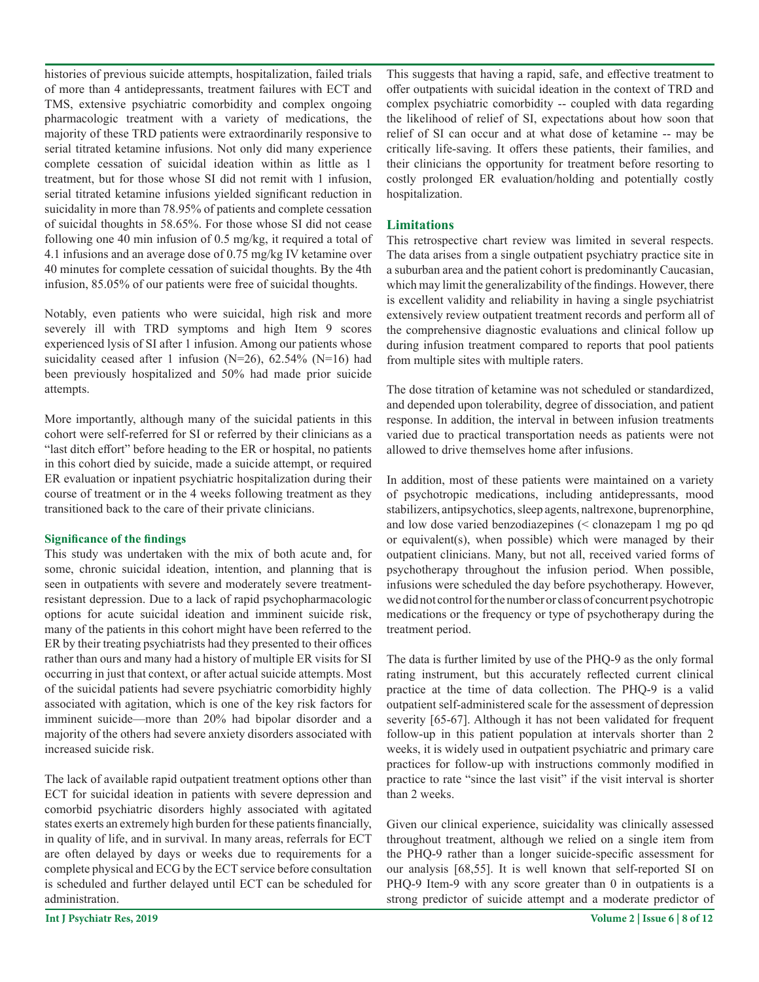histories of previous suicide attempts, hospitalization, failed trials of more than 4 antidepressants, treatment failures with ECT and TMS, extensive psychiatric comorbidity and complex ongoing pharmacologic treatment with a variety of medications, the majority of these TRD patients were extraordinarily responsive to serial titrated ketamine infusions. Not only did many experience complete cessation of suicidal ideation within as little as 1 treatment, but for those whose SI did not remit with 1 infusion, serial titrated ketamine infusions yielded significant reduction in suicidality in more than 78.95% of patients and complete cessation of suicidal thoughts in 58.65%. For those whose SI did not cease following one 40 min infusion of 0.5 mg/kg, it required a total of 4.1 infusions and an average dose of 0.75 mg/kg IV ketamine over 40 minutes for complete cessation of suicidal thoughts. By the 4th infusion, 85.05% of our patients were free of suicidal thoughts.

Notably, even patients who were suicidal, high risk and more severely ill with TRD symptoms and high Item 9 scores experienced lysis of SI after 1 infusion. Among our patients whose suicidality ceased after 1 infusion (N=26), 62.54% (N=16) had been previously hospitalized and 50% had made prior suicide attempts.

More importantly, although many of the suicidal patients in this cohort were self-referred for SI or referred by their clinicians as a "last ditch effort" before heading to the ER or hospital, no patients in this cohort died by suicide, made a suicide attempt, or required ER evaluation or inpatient psychiatric hospitalization during their course of treatment or in the 4 weeks following treatment as they transitioned back to the care of their private clinicians.

# **Significance of the findings**

This study was undertaken with the mix of both acute and, for some, chronic suicidal ideation, intention, and planning that is seen in outpatients with severe and moderately severe treatmentresistant depression. Due to a lack of rapid psychopharmacologic options for acute suicidal ideation and imminent suicide risk, many of the patients in this cohort might have been referred to the ER by their treating psychiatrists had they presented to their offices rather than ours and many had a history of multiple ER visits for SI occurring in just that context, or after actual suicide attempts. Most of the suicidal patients had severe psychiatric comorbidity highly associated with agitation, which is one of the key risk factors for imminent suicide—more than 20% had bipolar disorder and a majority of the others had severe anxiety disorders associated with increased suicide risk.

The lack of available rapid outpatient treatment options other than ECT for suicidal ideation in patients with severe depression and comorbid psychiatric disorders highly associated with agitated states exerts an extremely high burden for these patients financially, in quality of life, and in survival. In many areas, referrals for ECT are often delayed by days or weeks due to requirements for a complete physical and ECG by the ECT service before consultation is scheduled and further delayed until ECT can be scheduled for administration.

This suggests that having a rapid, safe, and effective treatment to offer outpatients with suicidal ideation in the context of TRD and complex psychiatric comorbidity -- coupled with data regarding the likelihood of relief of SI, expectations about how soon that relief of SI can occur and at what dose of ketamine -- may be critically life-saving. It offers these patients, their families, and their clinicians the opportunity for treatment before resorting to costly prolonged ER evaluation/holding and potentially costly hospitalization.

# **Limitations**

This retrospective chart review was limited in several respects. The data arises from a single outpatient psychiatry practice site in a suburban area and the patient cohort is predominantly Caucasian, which may limit the generalizability of the findings. However, there is excellent validity and reliability in having a single psychiatrist extensively review outpatient treatment records and perform all of the comprehensive diagnostic evaluations and clinical follow up during infusion treatment compared to reports that pool patients from multiple sites with multiple raters.

The dose titration of ketamine was not scheduled or standardized, and depended upon tolerability, degree of dissociation, and patient response. In addition, the interval in between infusion treatments varied due to practical transportation needs as patients were not allowed to drive themselves home after infusions.

In addition, most of these patients were maintained on a variety of psychotropic medications, including antidepressants, mood stabilizers, antipsychotics, sleep agents, naltrexone, buprenorphine, and low dose varied benzodiazepines (< clonazepam 1 mg po qd or equivalent(s), when possible) which were managed by their outpatient clinicians. Many, but not all, received varied forms of psychotherapy throughout the infusion period. When possible, infusions were scheduled the day before psychotherapy. However, we did not control for the number or class of concurrent psychotropic medications or the frequency or type of psychotherapy during the treatment period.

The data is further limited by use of the PHQ-9 as the only formal rating instrument, but this accurately reflected current clinical practice at the time of data collection. The PHQ-9 is a valid outpatient self-administered scale for the assessment of depression severity [65-67]. Although it has not been validated for frequent follow-up in this patient population at intervals shorter than 2 weeks, it is widely used in outpatient psychiatric and primary care practices for follow-up with instructions commonly modified in practice to rate "since the last visit" if the visit interval is shorter than 2 weeks.

Given our clinical experience, suicidality was clinically assessed throughout treatment, although we relied on a single item from the PHQ-9 rather than a longer suicide-specific assessment for our analysis [68,55]. It is well known that self-reported SI on PHQ-9 Item-9 with any score greater than 0 in outpatients is a strong predictor of suicide attempt and a moderate predictor of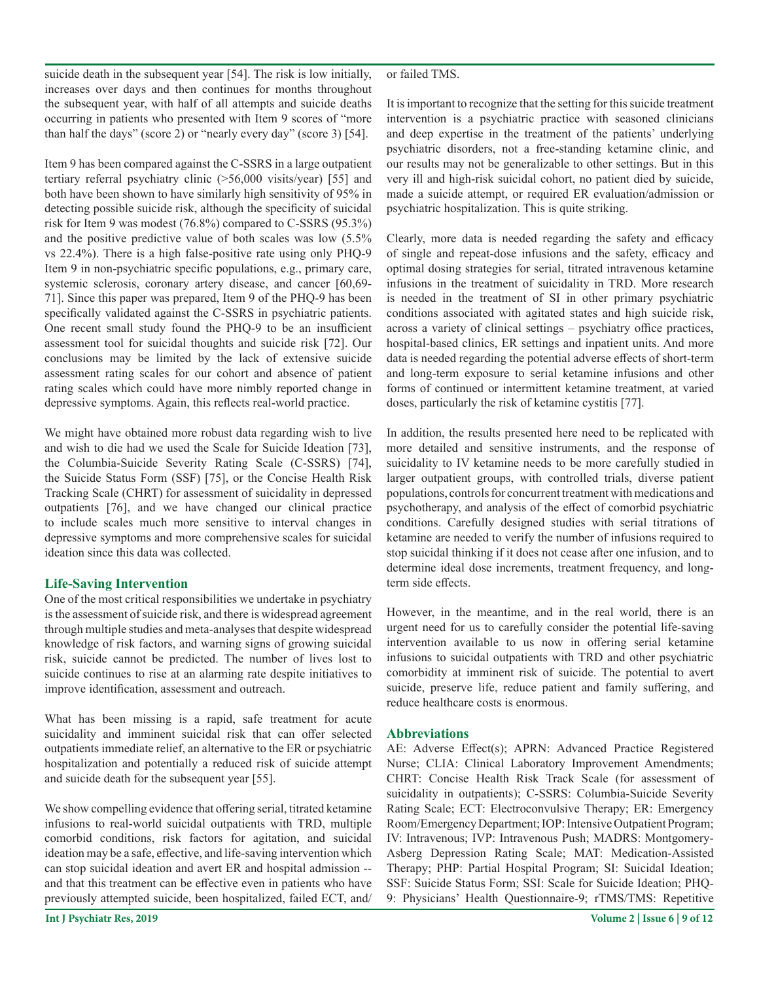suicide death in the subsequent year [54]. The risk is low initially, increases over days and then continues for months throughout the subsequent year, with half of all attempts and suicide deaths occurring in patients who presented with Item 9 scores of "more than half the days" (score 2) or "nearly every day" (score 3) [54].

Item 9 has been compared against the C-SSRS in a large outpatient tertiary referral psychiatry clinic (>56,000 visits/year) [55] and both have been shown to have similarly high sensitivity of 95% in detecting possible suicide risk, although the specificity of suicidal risk for Item 9 was modest (76.8%) compared to C-SSRS (95.3%) and the positive predictive value of both scales was low (5.5% vs 22.4%). There is a high false-positive rate using only PHQ-9 Item 9 in non-psychiatric specific populations, e.g., primary care, systemic sclerosis, coronary artery disease, and cancer [60,69-71]. Since this paper was prepared, Item 9 of the PHQ-9 has been specifically validated against the C-SSRS in psychiatric patients. One recent small study found the PHQ-9 to be an insufficient assessment tool for suicidal thoughts and suicide risk [72]. Our conclusions may be limited by the lack of extensive suicide assessment rating scales for our cohort and absence of patient rating scales which could have more nimbly reported change in depressive symptoms. Again, this reflects real-world practice.

We might have obtained more robust data regarding wish to live and wish to die had we used the Scale for Suicide Ideation [73], the Columbia-Suicide Severity Rating Scale (C-SSRS) [74], the Suicide Status Form (SSF) [75], or the Concise Health Risk Tracking Scale (CHRT) for assessment of suicidality in depressed outpatients [76], and we have changed our clinical practice to include scales much more sensitive to interval changes in depressive symptoms and more comprehensive scales for suicidal ideation since this data was collected.

# **Life-Saving Intervention**

One of the most critical responsibilities we undertake in psychiatry is the assessment of suicide risk, and there is widespread agreement through multiple studies and meta-analyses that despite widespread knowledge of risk factors, and warning signs of growing suicidal risk, suicide cannot be predicted. The number of lives lost to suicide continues to rise at an alarming rate despite initiatives to improve identification, assessment and outreach.

What has been missing is a rapid, safe treatment for acute suicidality and imminent suicidal risk that can offer selected outpatients immediate relief, an alternative to the ER or psychiatric hospitalization and potentially a reduced risk of suicide attempt and suicide death for the subsequent year [55].

We show compelling evidence that offering serial, titrated ketamine infusions to real-world suicidal outpatients with TRD, multiple comorbid conditions, risk factors for agitation, and suicidal ideation may be a safe, effective, and life-saving intervention which can stop suicidal ideation and avert ER and hospital admission - and that this treatment can be effective even in patients who have previously attempted suicide, been hospitalized, failed ECT, and/

or failed TMS.

It is important to recognize that the setting for this suicide treatment intervention is a psychiatric practice with seasoned clinicians and deep expertise in the treatment of the patients' underlying psychiatric disorders, not a free-standing ketamine clinic, and our results may not be generalizable to other settings. But in this very ill and high-risk suicidal cohort, no patient died by suicide, made a suicide attempt, or required ER evaluation/admission or psychiatric hospitalization. This is quite striking.

Clearly, more data is needed regarding the safety and efficacy of single and repeat-dose infusions and the safety, efficacy and optimal dosing strategies for serial, titrated intravenous ketamine infusions in the treatment of suicidality in TRD. More research is needed in the treatment of SI in other primary psychiatric conditions associated with agitated states and high suicide risk, across a variety of clinical settings – psychiatry office practices, hospital-based clinics, ER settings and inpatient units. And more data is needed regarding the potential adverse effects of short-term and long-term exposure to serial ketamine infusions and other forms of continued or intermittent ketamine treatment, at varied doses, particularly the risk of ketamine cystitis [77].

In addition, the results presented here need to be replicated with more detailed and sensitive instruments, and the response of suicidality to IV ketamine needs to be more carefully studied in larger outpatient groups, with controlled trials, diverse patient populations, controls for concurrent treatment with medications and psychotherapy, and analysis of the effect of comorbid psychiatric conditions. Carefully designed studies with serial titrations of ketamine are needed to verify the number of infusions required to stop suicidal thinking if it does not cease after one infusion, and to determine ideal dose increments, treatment frequency, and longterm side effects.

However, in the meantime, and in the real world, there is an urgent need for us to carefully consider the potential life-saving intervention available to us now in offering serial ketamine infusions to suicidal outpatients with TRD and other psychiatric comorbidity at imminent risk of suicide. The potential to avert suicide, preserve life, reduce patient and family suffering, and reduce healthcare costs is enormous.

# **Abbreviations**

AE: Adverse Effect(s); APRN: Advanced Practice Registered Nurse; CLIA: Clinical Laboratory Improvement Amendments; CHRT: Concise Health Risk Track Scale (for assessment of suicidality in outpatients); C-SSRS: Columbia-Suicide Severity Rating Scale; ECT: Electroconvulsive Therapy; ER: Emergency Room/Emergency Department; IOP: Intensive Outpatient Program; IV: Intravenous; IVP: Intravenous Push; MADRS: Montgomery-Asberg Depression Rating Scale; MAT: Medication-Assisted Therapy; PHP: Partial Hospital Program; SI: Suicidal Ideation; SSF: Suicide Status Form; SSI: Scale for Suicide Ideation; PHQ-9: Physicians' Health Questionnaire-9; rTMS/TMS: Repetitive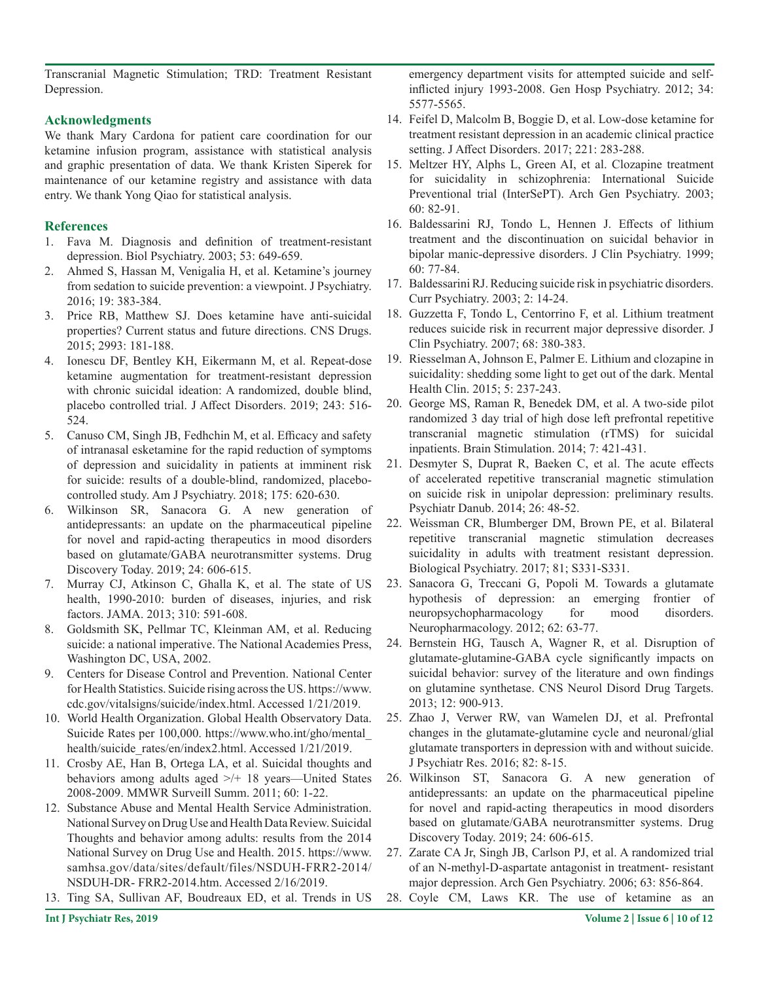Transcranial Magnetic Stimulation; TRD: Treatment Resistant Depression.

## **Acknowledgments**

We thank Mary Cardona for patient care coordination for our ketamine infusion program, assistance with statistical analysis and graphic presentation of data. We thank Kristen Siperek for maintenance of our ketamine registry and assistance with data entry. We thank Yong Qiao for statistical analysis.

## **References**

- 1. Fava M. Diagnosis and definition of treatment-resistant depression. Biol Psychiatry. 2003; 53: 649-659.
- 2. Ahmed S, Hassan M, Venigalia H, et al. Ketamine's journey from sedation to suicide prevention: a viewpoint. J Psychiatry. 2016; 19: 383-384.
- 3. Price RB, Matthew SJ. Does ketamine have anti-suicidal properties? Current status and future directions. CNS Drugs. 2015; 2993: 181-188.
- 4. Ionescu DF, Bentley KH, Eikermann M, et al. Repeat-dose ketamine augmentation for treatment-resistant depression with chronic suicidal ideation: A randomized, double blind, placebo controlled trial. J Affect Disorders. 2019; 243: 516- 524.
- 5. Canuso CM, Singh JB, Fedhchin M, et al. Efficacy and safety of intranasal esketamine for the rapid reduction of symptoms of depression and suicidality in patients at imminent risk for suicide: results of a double-blind, randomized, placebocontrolled study. Am J Psychiatry. 2018; 175: 620-630.
- 6. Wilkinson SR, Sanacora G. A new generation of antidepressants: an update on the pharmaceutical pipeline for novel and rapid-acting therapeutics in mood disorders based on glutamate/GABA neurotransmitter systems. Drug Discovery Today. 2019; 24: 606-615.
- 7. Murray CJ, Atkinson C, Ghalla K, et al. The state of US health, 1990-2010: burden of diseases, injuries, and risk factors. JAMA. 2013; 310: 591-608.
- 8. Goldsmith SK, Pellmar TC, Kleinman AM, et al. Reducing suicide: a national imperative. The National Academies Press, Washington DC, USA, 2002.
- 9. Centers for Disease Control and Prevention. National Center for Health Statistics. Suicide rising across the US. https://www. cdc.gov/vitalsigns/suicide/index.html. Accessed 1/21/2019.
- 10. World Health Organization. Global Health Observatory Data. Suicide Rates per 100,000. https://www.who.int/gho/mental\_ health/suicide\_rates/en/index2.html. Accessed 1/21/2019.
- 11. Crosby AE, Han B, Ortega LA, et al. Suicidal thoughts and behaviors among adults aged >/+ 18 years—United States 2008-2009. MMWR Surveill Summ. 2011; 60: 1-22.
- 12. Substance Abuse and Mental Health Service Administration. National Survey on Drug Use and Health Data Review. Suicidal Thoughts and behavior among adults: results from the 2014 National Survey on Drug Use and Health. 2015. https://www. samhsa.gov/data/sites/default/files/NSDUH-FRR2-2014/ NSDUH-DR- FRR2-2014.htm. Accessed 2/16/2019.
- 13. Ting SA, Sullivan AF, Boudreaux ED, et al. Trends in US

emergency department visits for attempted suicide and selfinflicted injury 1993-2008. Gen Hosp Psychiatry. 2012; 34: 5577-5565.

- 14. Feifel D, Malcolm B, Boggie D, et al. Low-dose ketamine for treatment resistant depression in an academic clinical practice setting. J Affect Disorders. 2017; 221: 283-288.
- 15. Meltzer HY, Alphs L, Green AI, et al. Clozapine treatment for suicidality in schizophrenia: International Suicide Preventional trial (InterSePT). Arch Gen Psychiatry. 2003; 60: 82-91.
- 16. Baldessarini RJ, Tondo L, Hennen J. Effects of lithium treatment and the discontinuation on suicidal behavior in bipolar manic-depressive disorders. J Clin Psychiatry. 1999; 60: 77-84.
- 17. Baldessarini RJ. Reducing suicide risk in psychiatric disorders. Curr Psychiatry. 2003; 2: 14-24.
- 18. Guzzetta F, Tondo L, Centorrino F, et al. Lithium treatment reduces suicide risk in recurrent major depressive disorder. J Clin Psychiatry. 2007; 68: 380-383.
- 19. Riesselman A, Johnson E, Palmer E. Lithium and clozapine in suicidality: shedding some light to get out of the dark. Mental Health Clin. 2015; 5: 237-243.
- 20. George MS, Raman R, Benedek DM, et al. A two-side pilot randomized 3 day trial of high dose left prefrontal repetitive transcranial magnetic stimulation (rTMS) for suicidal inpatients. Brain Stimulation. 2014; 7: 421-431.
- 21. Desmyter S, Duprat R, Baeken C, et al. The acute effects of accelerated repetitive transcranial magnetic stimulation on suicide risk in unipolar depression: preliminary results. Psychiatr Danub. 2014; 26: 48-52.
- 22. Weissman CR, Blumberger DM, Brown PE, et al. Bilateral repetitive transcranial magnetic stimulation decreases suicidality in adults with treatment resistant depression. Biological Psychiatry. 2017; 81; S331-S331.
- 23. Sanacora G, Treccani G, Popoli M. Towards a glutamate hypothesis of depression: an emerging frontier of neuropsychopharmacology for mood disorders. Neuropharmacology. 2012; 62: 63-77.
- 24. Bernstein HG, Tausch A, Wagner R, et al. Disruption of glutamate-glutamine-GABA cycle significantly impacts on suicidal behavior: survey of the literature and own findings on glutamine synthetase. CNS Neurol Disord Drug Targets. 2013; 12: 900-913.
- 25. Zhao J, Verwer RW, van Wamelen DJ, et al. Prefrontal changes in the glutamate-glutamine cycle and neuronal/glial glutamate transporters in depression with and without suicide. J Psychiatr Res. 2016; 82: 8-15.
- 26. Wilkinson ST, Sanacora G. A new generation of antidepressants: an update on the pharmaceutical pipeline for novel and rapid-acting therapeutics in mood disorders based on glutamate/GABA neurotransmitter systems. Drug Discovery Today. 2019; 24: 606-615.
- 27. Zarate CA Jr, Singh JB, Carlson PJ, et al. A randomized trial of an N-methyl-D-aspartate antagonist in treatment- resistant major depression. Arch Gen Psychiatry. 2006; 63: 856-864.
- 28. Coyle CM, Laws KR. The use of ketamine as an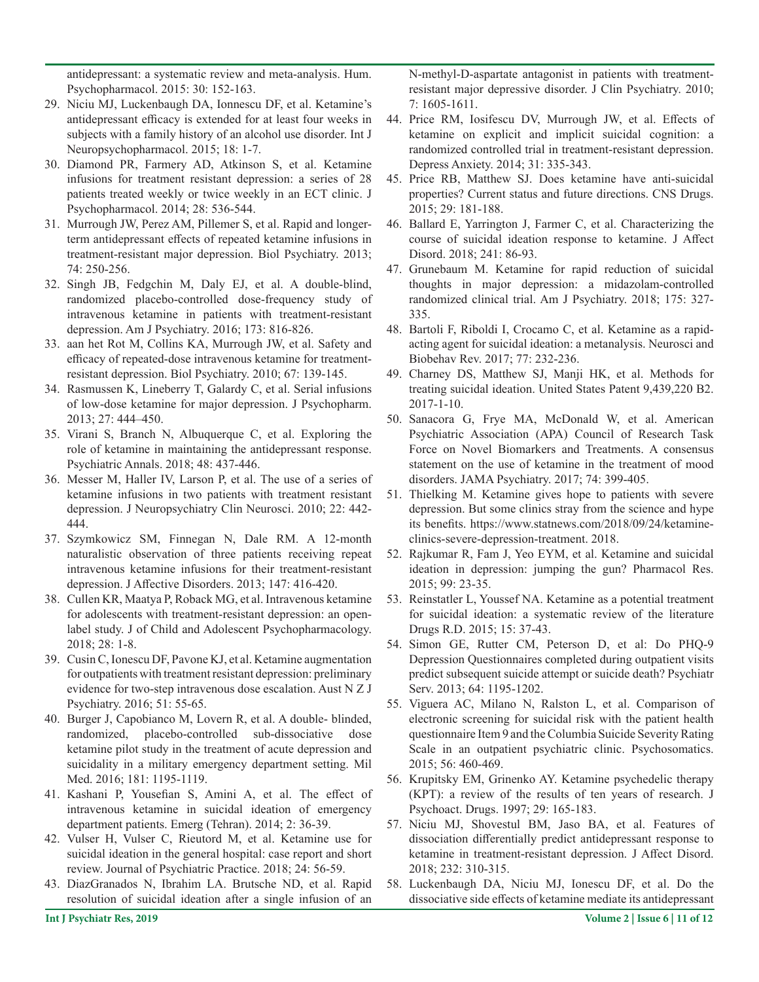antidepressant: a systematic review and meta-analysis. Hum. Psychopharmacol. 2015: 30: 152-163.

- 29. Niciu MJ, Luckenbaugh DA, Ionnescu DF, et al. Ketamine's antidepressant efficacy is extended for at least four weeks in subjects with a family history of an alcohol use disorder. Int J Neuropsychopharmacol. 2015; 18: 1-7.
- 30. Diamond PR, Farmery AD, Atkinson S, et al. Ketamine infusions for treatment resistant depression: a series of 28 patients treated weekly or twice weekly in an ECT clinic. J Psychopharmacol. 2014; 28: 536-544.
- 31. Murrough JW, Perez AM, Pillemer S, et al. Rapid and longerterm antidepressant effects of repeated ketamine infusions in treatment-resistant major depression. Biol Psychiatry. 2013; 74: 250-256.
- 32. Singh JB, Fedgchin M, Daly EJ, et al. A double-blind, randomized placebo-controlled dose-frequency study of intravenous ketamine in patients with treatment-resistant depression. Am J Psychiatry. 2016; 173: 816-826.
- 33. aan het Rot M, Collins KA, Murrough JW, et al. Safety and efficacy of repeated-dose intravenous ketamine for treatmentresistant depression. Biol Psychiatry. 2010; 67: 139-145.
- 34. Rasmussen K, Lineberry T, Galardy C, et al. Serial infusions of low-dose ketamine for major depression. J Psychopharm. 2013; 27: 444–450.
- 35. Virani S, Branch N, Albuquerque C, et al. Exploring the role of ketamine in maintaining the antidepressant response. Psychiatric Annals. 2018; 48: 437-446.
- 36. Messer M, Haller IV, Larson P, et al. The use of a series of ketamine infusions in two patients with treatment resistant depression. J Neuropsychiatry Clin Neurosci. 2010; 22: 442- 444.
- 37. Szymkowicz SM, Finnegan N, Dale RM. A 12-month naturalistic observation of three patients receiving repeat intravenous ketamine infusions for their treatment-resistant depression. J Affective Disorders. 2013; 147: 416-420.
- 38. Cullen KR, Maatya P, Roback MG, et al. Intravenous ketamine for adolescents with treatment-resistant depression: an openlabel study. J of Child and Adolescent Psychopharmacology. 2018; 28: 1-8.
- 39. Cusin C, Ionescu DF, Pavone KJ, et al. Ketamine augmentation for outpatients with treatment resistant depression: preliminary evidence for two-step intravenous dose escalation. Aust N Z J Psychiatry. 2016; 51: 55-65.
- 40. Burger J, Capobianco M, Lovern R, et al. A double- blinded, randomized, placebo-controlled sub-dissociative dose ketamine pilot study in the treatment of acute depression and suicidality in a military emergency department setting. Mil Med. 2016; 181: 1195-1119.
- 41. Kashani P, Yousefian S, Amini A, et al. The effect of intravenous ketamine in suicidal ideation of emergency department patients. Emerg (Tehran). 2014; 2: 36-39.
- 42. Vulser H, Vulser C, Rieutord M, et al. Ketamine use for suicidal ideation in the general hospital: case report and short review. Journal of Psychiatric Practice. 2018; 24: 56-59.
- 43. DiazGranados N, Ibrahim LA. Brutsche ND, et al. Rapid resolution of suicidal ideation after a single infusion of an

N-methyl-D-aspartate antagonist in patients with treatmentresistant major depressive disorder. J Clin Psychiatry. 2010; 7: 1605-1611.

- 44. Price RM, Iosifescu DV, Murrough JW, et al. Effects of ketamine on explicit and implicit suicidal cognition: a randomized controlled trial in treatment-resistant depression. Depress Anxiety. 2014; 31: 335-343.
- 45. Price RB, Matthew SJ. Does ketamine have anti-suicidal properties? Current status and future directions. CNS Drugs. 2015; 29: 181-188.
- 46. Ballard E, Yarrington J, Farmer C, et al. Characterizing the course of suicidal ideation response to ketamine. J Affect Disord. 2018; 241: 86-93.
- 47. Grunebaum M. Ketamine for rapid reduction of suicidal thoughts in major depression: a midazolam-controlled randomized clinical trial. Am J Psychiatry. 2018; 175: 327- 335.
- 48. Bartoli F, Riboldi I, Crocamo C, et al. Ketamine as a rapidacting agent for suicidal ideation: a metanalysis. Neurosci and Biobehav Rev. 2017; 77: 232-236.
- 49. Charney DS, Matthew SJ, Manji HK, et al. Methods for treating suicidal ideation. United States Patent 9,439,220 B2. 2017-1-10.
- 50. Sanacora G, Frye MA, McDonald W, et al. American Psychiatric Association (APA) Council of Research Task Force on Novel Biomarkers and Treatments. A consensus statement on the use of ketamine in the treatment of mood disorders. JAMA Psychiatry. 2017; 74: 399-405.
- 51. Thielking M. Ketamine gives hope to patients with severe depression. But some clinics stray from the science and hype its benefits. https://www.statnews.com/2018/09/24/ketamineclinics-severe-depression-treatment. 2018.
- 52. Rajkumar R, Fam J, Yeo EYM, et al. Ketamine and suicidal ideation in depression: jumping the gun? Pharmacol Res. 2015; 99: 23-35.
- 53. Reinstatler L, Youssef NA. Ketamine as a potential treatment for suicidal ideation: a systematic review of the literature Drugs R.D. 2015; 15: 37-43.
- 54. Simon GE, Rutter CM, Peterson D, et al: Do PHQ-9 Depression Questionnaires completed during outpatient visits predict subsequent suicide attempt or suicide death? Psychiatr Serv. 2013; 64: 1195-1202.
- 55. Viguera AC, Milano N, Ralston L, et al. Comparison of electronic screening for suicidal risk with the patient health questionnaire Item 9 and the Columbia Suicide Severity Rating Scale in an outpatient psychiatric clinic. Psychosomatics. 2015; 56: 460-469.
- 56. Krupitsky EM, Grinenko AY. Ketamine psychedelic therapy (KPT): a review of the results of ten years of research. J Psychoact. Drugs. 1997; 29: 165-183.
- 57. Niciu MJ, Shovestul BM, Jaso BA, et al. Features of dissociation differentially predict antidepressant response to ketamine in treatment-resistant depression. J Affect Disord. 2018; 232: 310-315.
- 58. Luckenbaugh DA, Niciu MJ, Ionescu DF, et al. Do the dissociative side effects of ketamine mediate its antidepressant